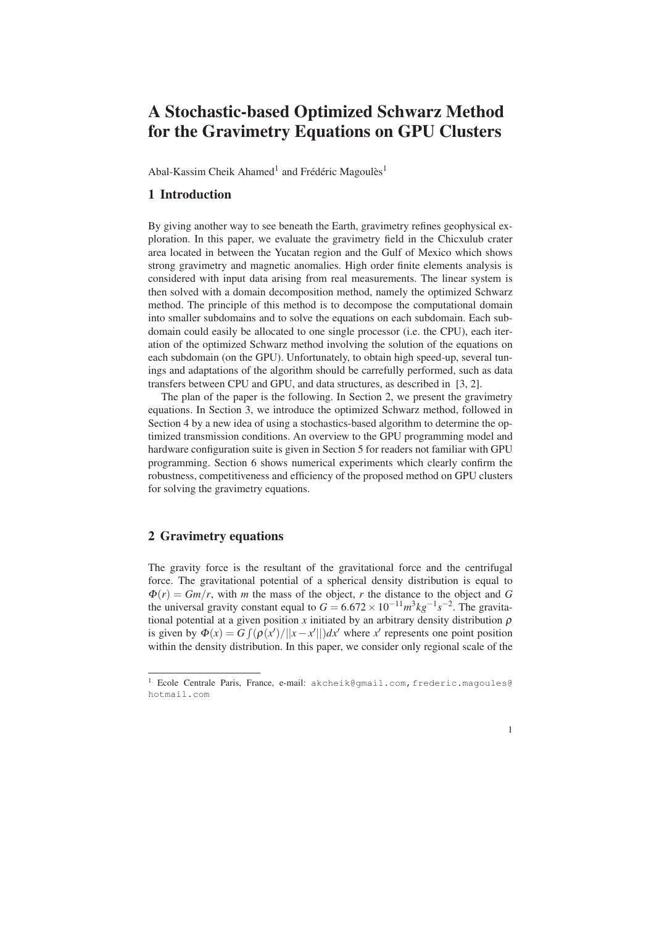# A Stochastic-based Optimized Schwarz Method for the Gravimetry Equations on GPU Clusters

Abal-Kassim Cheik Ahamed<sup>1</sup> and Frédéric Magoulès<sup>1</sup>

## 1 Introduction

By giving another way to see beneath the Earth, gravimetry refines geophysical exploration. In this paper, we evaluate the gravimetry field in the Chicxulub crater area located in between the Yucatan region and the Gulf of Mexico which shows strong gravimetry and magnetic anomalies. High order finite elements analysis is considered with input data arising from real measurements. The linear system is then solved with a domain decomposition method, namely the optimized Schwarz method. The principle of this method is to decompose the computational domain into smaller subdomains and to solve the equations on each subdomain. Each subdomain could easily be allocated to one single processor (i.e. the CPU), each iteration of the optimized Schwarz method involving the solution of the equations on each subdomain (on the GPU). Unfortunately, to obtain high speed-up, several tunings and adaptations of the algorithm should be carrefully performed, such as data transfers between CPU and GPU, and data structures, as described in [3, 2].

The plan of the paper is the following. In Section 2, we present the gravimetry equations. In Section 3, we introduce the optimized Schwarz method, followed in Section 4 by a new idea of using a stochastics-based algorithm to determine the optimized transmission conditions. An overview to the GPU programming model and hardware configuration suite is given in Section 5 for readers not familiar with GPU programming. Section 6 shows numerical experiments which clearly confirm the robustness, competitiveness and efficiency of the proposed method on GPU clusters for solving the gravimetry equations.

## 2 Gravimetry equations

The gravity force is the resultant of the gravitational force and the centrifugal force. The gravitational potential of a spherical density distribution is equal to  $\Phi(r) = Gm/r$ , with *m* the mass of the object, *r* the distance to the object and *G* the universal gravity constant equal to  $G = 6.672 \times 10^{-11} m^3 kg^{-1} s^{-2}$ . The gravitational potential at a given position *x* initiated by an arbitrary density distribution  $\rho$ is given by  $\Phi(x) = G \int (\rho(x') / ||x - x'||) dx'$  where *x'* represents one point position within the density distribution. In this paper, we consider only regional scale of the

<sup>&</sup>lt;sup>1</sup> Ecole Centrale Paris, France, e-mail: akcheik@gmail.com, frederic.magoules@ hotmail.com

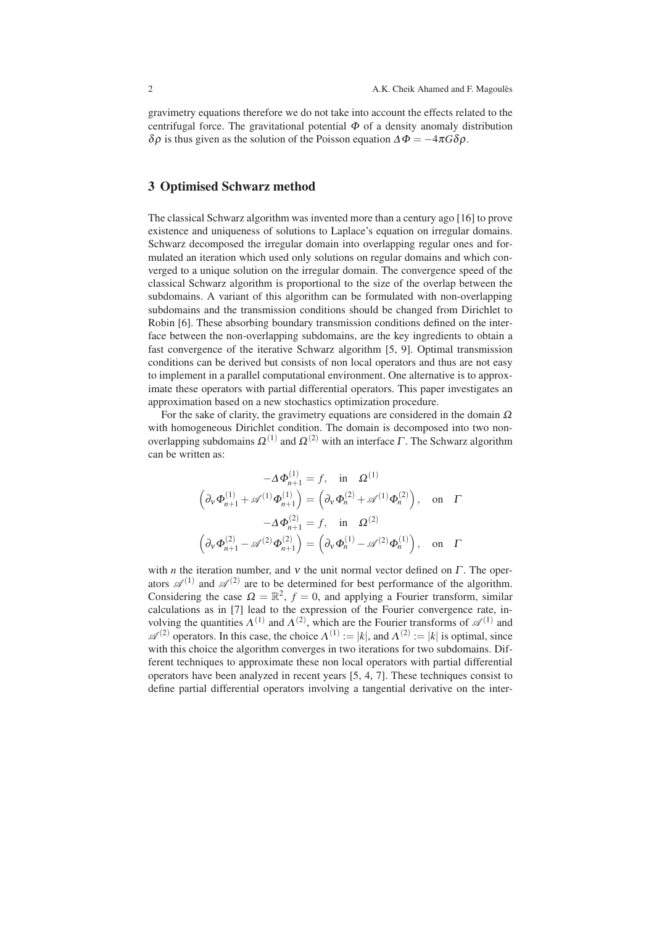gravimetry equations therefore we do not take into account the effects related to the centrifugal force. The gravitational potential  $\Phi$  of a density anomaly distribution δρ is thus given as the solution of the Poisson equation ∆Φ = −4π*G*δρ.

## 3 Optimised Schwarz method

The classical Schwarz algorithm was invented more than a century ago [16] to prove existence and uniqueness of solutions to Laplace's equation on irregular domains. Schwarz decomposed the irregular domain into overlapping regular ones and formulated an iteration which used only solutions on regular domains and which converged to a unique solution on the irregular domain. The convergence speed of the classical Schwarz algorithm is proportional to the size of the overlap between the subdomains. A variant of this algorithm can be formulated with non-overlapping subdomains and the transmission conditions should be changed from Dirichlet to Robin [6]. These absorbing boundary transmission conditions defined on the interface between the non-overlapping subdomains, are the key ingredients to obtain a fast convergence of the iterative Schwarz algorithm [5, 9]. Optimal transmission conditions can be derived but consists of non local operators and thus are not easy to implement in a parallel computational environment. One alternative is to approximate these operators with partial differential operators. This paper investigates an approximation based on a new stochastics optimization procedure.

For the sake of clarity, the gravimetry equations are considered in the domain  $\Omega$ with homogeneous Dirichlet condition. The domain is decomposed into two nonoverlapping subdomains  $\Omega^{(1)}$  and  $\Omega^{(2)}$  with an interface  $\Gamma$ . The Schwarz algorithm can be written as:

 $(1)$ 

$$
-\Delta \Phi_{n+1}^{(1)} = f, \text{ in } \Omega^{(1)}
$$
  

$$
(\partial_v \Phi_{n+1}^{(1)} + \mathscr{A}^{(1)} \Phi_{n+1}^{(1)}) = (\partial_v \Phi_n^{(2)} + \mathscr{A}^{(1)} \Phi_n^{(2)}), \text{ on } \Gamma
$$
  

$$
-\Delta \Phi_{n+1}^{(2)} = f, \text{ in } \Omega^{(2)}
$$
  

$$
(\partial_v \Phi_{n+1}^{(2)} - \mathscr{A}^{(2)} \Phi_{n+1}^{(2)}) = (\partial_v \Phi_n^{(1)} - \mathscr{A}^{(2)} \Phi_n^{(1)}), \text{ on } \Gamma
$$

with *n* the iteration number, and *v* the unit normal vector defined on  $\Gamma$ . The operators  $\mathscr{A}^{(1)}$  and  $\mathscr{A}^{(2)}$  are to be determined for best performance of the algorithm. Considering the case  $\Omega = \mathbb{R}^2$ ,  $f = 0$ , and applying a Fourier transform, similar calculations as in [7] lead to the expression of the Fourier convergence rate, involving the quantities  $\Lambda^{(1)}$  and  $\Lambda^{(2)}$ , which are the Fourier transforms of  $\mathscr{A}^{(1)}$  and  $\mathscr{A}^{(2)}$  operators. In this case, the choice  $\Lambda^{(1)} := |k|$ , and  $\Lambda^{(2)} := |k|$  is optimal, since with this choice the algorithm converges in two iterations for two subdomains. Different techniques to approximate these non local operators with partial differential operators have been analyzed in recent years [5, 4, 7]. These techniques consist to define partial differential operators involving a tangential derivative on the inter-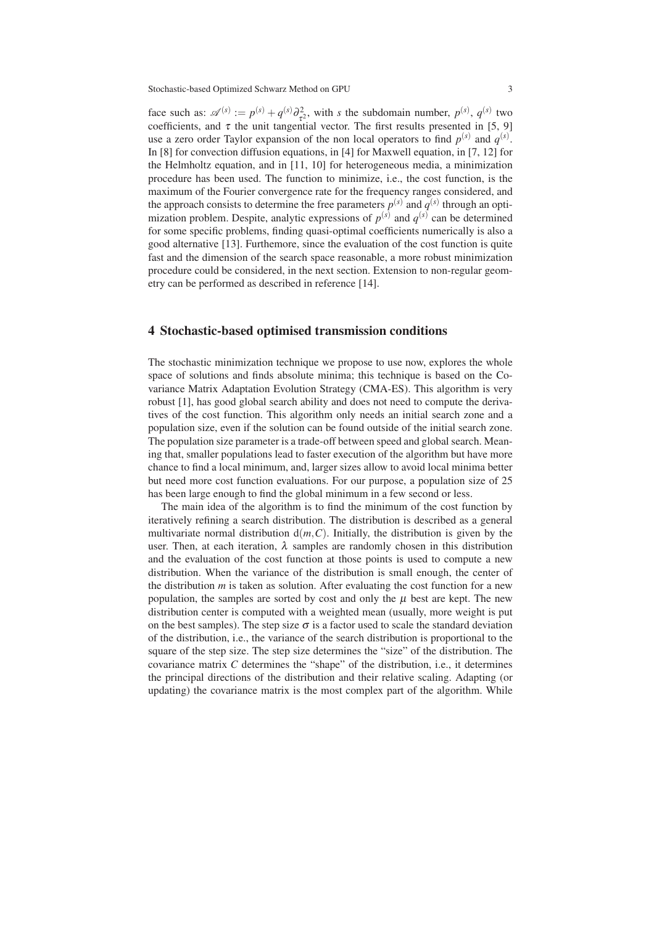face such as:  $\mathscr{A}^{(s)} := p^{(s)} + q^{(s)} \partial_{\tau^2}^2$ , with *s* the subdomain number,  $p^{(s)}$ ,  $q^{(s)}$  two coefficients, and  $\tau$  the unit tangential vector. The first results presented in [5, 9] use a zero order Taylor expansion of the non local operators to find  $p^{(s)}$  and  $q^{(s)}$ . In [8] for convection diffusion equations, in [4] for Maxwell equation, in [7, 12] for the Helmholtz equation, and in [11, 10] for heterogeneous media, a minimization procedure has been used. The function to minimize, i.e., the cost function, is the maximum of the Fourier convergence rate for the frequency ranges considered, and the approach consists to determine the free parameters  $p^{(s)}$  and  $q^{(s)}$  through an optimization problem. Despite, analytic expressions of  $p^{(s)}$  and  $q^{(s)}$  can be determined for some specific problems, finding quasi-optimal coefficients numerically is also a good alternative [13]. Furthemore, since the evaluation of the cost function is quite fast and the dimension of the search space reasonable, a more robust minimization procedure could be considered, in the next section. Extension to non-regular geometry can be performed as described in reference [14].

## 4 Stochastic-based optimised transmission conditions

The stochastic minimization technique we propose to use now, explores the whole space of solutions and finds absolute minima; this technique is based on the Covariance Matrix Adaptation Evolution Strategy (CMA-ES). This algorithm is very robust [1], has good global search ability and does not need to compute the derivatives of the cost function. This algorithm only needs an initial search zone and a population size, even if the solution can be found outside of the initial search zone. The population size parameter is a trade-off between speed and global search. Meaning that, smaller populations lead to faster execution of the algorithm but have more chance to find a local minimum, and, larger sizes allow to avoid local minima better but need more cost function evaluations. For our purpose, a population size of 25 has been large enough to find the global minimum in a few second or less.

The main idea of the algorithm is to find the minimum of the cost function by iteratively refining a search distribution. The distribution is described as a general multivariate normal distribution  $d(m, C)$ . Initially, the distribution is given by the user. Then, at each iteration,  $\lambda$  samples are randomly chosen in this distribution and the evaluation of the cost function at those points is used to compute a new distribution. When the variance of the distribution is small enough, the center of the distribution  $m$  is taken as solution. After evaluating the cost function for a new population, the samples are sorted by cost and only the  $\mu$  best are kept. The new distribution center is computed with a weighted mean (usually, more weight is put on the best samples). The step size  $\sigma$  is a factor used to scale the standard deviation of the distribution, i.e., the variance of the search distribution is proportional to the square of the step size. The step size determines the "size" of the distribution. The covariance matrix *C* determines the "shape" of the distribution, i.e., it determines the principal directions of the distribution and their relative scaling. Adapting (or updating) the covariance matrix is the most complex part of the algorithm. While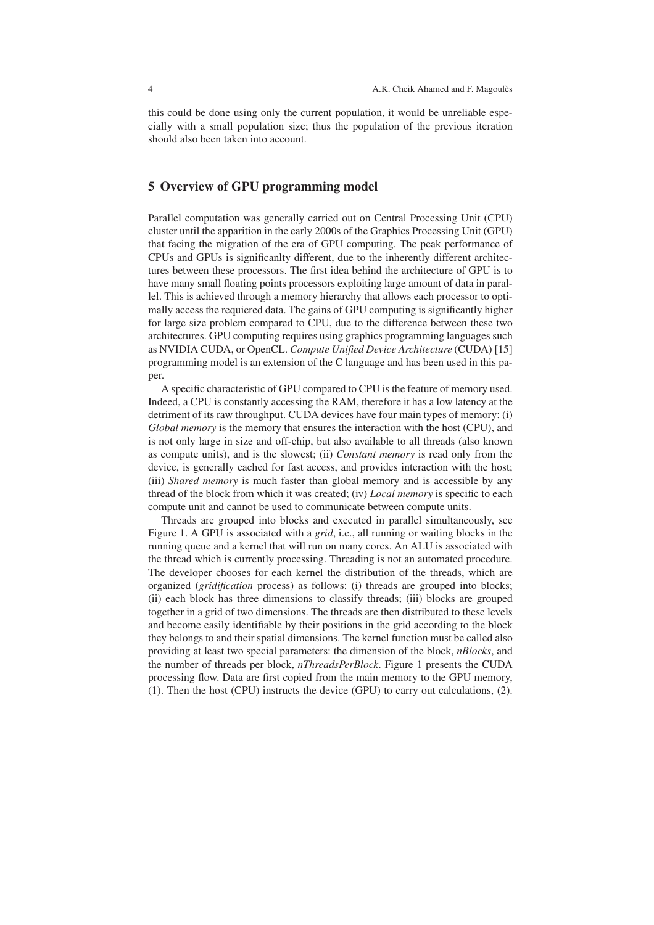this could be done using only the current population, it would be unreliable especially with a small population size; thus the population of the previous iteration should also been taken into account.

## 5 Overview of GPU programming model

Parallel computation was generally carried out on Central Processing Unit (CPU) cluster until the apparition in the early 2000s of the Graphics Processing Unit (GPU) that facing the migration of the era of GPU computing. The peak performance of CPUs and GPUs is significanlty different, due to the inherently different architectures between these processors. The first idea behind the architecture of GPU is to have many small floating points processors exploiting large amount of data in parallel. This is achieved through a memory hierarchy that allows each processor to optimally access the requiered data. The gains of GPU computing is significantly higher for large size problem compared to CPU, due to the difference between these two architectures. GPU computing requires using graphics programming languages such as NVIDIA CUDA, or OpenCL. *Compute Unified Device Architecture* (CUDA) [15] programming model is an extension of the C language and has been used in this paper.

A specific characteristic of GPU compared to CPU is the feature of memory used. Indeed, a CPU is constantly accessing the RAM, therefore it has a low latency at the detriment of its raw throughput. CUDA devices have four main types of memory: (i) *Global memory* is the memory that ensures the interaction with the host (CPU), and is not only large in size and off-chip, but also available to all threads (also known as compute units), and is the slowest; (ii) *Constant memory* is read only from the device, is generally cached for fast access, and provides interaction with the host; (iii) *Shared memory* is much faster than global memory and is accessible by any thread of the block from which it was created; (iv) *Local memory* is specific to each compute unit and cannot be used to communicate between compute units.

Threads are grouped into blocks and executed in parallel simultaneously, see Figure 1. A GPU is associated with a *grid*, i.e., all running or waiting blocks in the running queue and a kernel that will run on many cores. An ALU is associated with the thread which is currently processing. Threading is not an automated procedure. The developer chooses for each kernel the distribution of the threads, which are organized (*gridification* process) as follows: (i) threads are grouped into blocks; (ii) each block has three dimensions to classify threads; (iii) blocks are grouped together in a grid of two dimensions. The threads are then distributed to these levels and become easily identifiable by their positions in the grid according to the block they belongs to and their spatial dimensions. The kernel function must be called also providing at least two special parameters: the dimension of the block, *nBlocks*, and the number of threads per block, *nThreadsPerBlock*. Figure 1 presents the CUDA processing flow. Data are first copied from the main memory to the GPU memory, (1). Then the host (CPU) instructs the device (GPU) to carry out calculations, (2).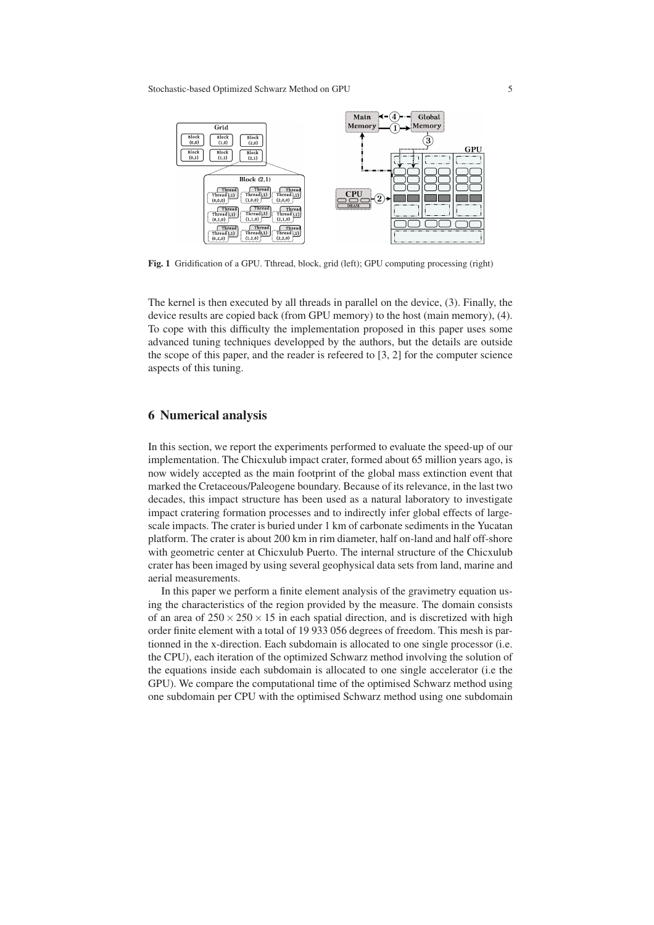Stochastic-based Optimized Schwarz Method on GPU 5



Fig. 1 Gridification of a GPU. Thread, block, grid (left); GPU computing processing (right)

The kernel is then executed by all threads in parallel on the device, (3). Finally, the device results are copied back (from GPU memory) to the host (main memory), (4). To cope with this difficulty the implementation proposed in this paper uses some advanced tuning techniques developped by the authors, but the details are outside the scope of this paper, and the reader is refeered to [3, 2] for the computer science aspects of this tuning.

## 6 Numerical analysis

In this section, we report the experiments performed to evaluate the speed-up of our implementation. The Chicxulub impact crater, formed about 65 million years ago, is now widely accepted as the main footprint of the global mass extinction event that marked the Cretaceous/Paleogene boundary. Because of its relevance, in the last two decades, this impact structure has been used as a natural laboratory to investigate impact cratering formation processes and to indirectly infer global effects of largescale impacts. The crater is buried under 1 km of carbonate sediments in the Yucatan platform. The crater is about 200 km in rim diameter, half on-land and half off-shore with geometric center at Chicxulub Puerto. The internal structure of the Chicxulub crater has been imaged by using several geophysical data sets from land, marine and aerial measurements.

In this paper we perform a finite element analysis of the gravimetry equation using the characteristics of the region provided by the measure. The domain consists of an area of  $250 \times 250 \times 15$  in each spatial direction, and is discretized with high order finite element with a total of 19 933 056 degrees of freedom. This mesh is partionned in the x-direction. Each subdomain is allocated to one single processor (i.e. the CPU), each iteration of the optimized Schwarz method involving the solution of the equations inside each subdomain is allocated to one single accelerator (i.e the GPU). We compare the computational time of the optimised Schwarz method using one subdomain per CPU with the optimised Schwarz method using one subdomain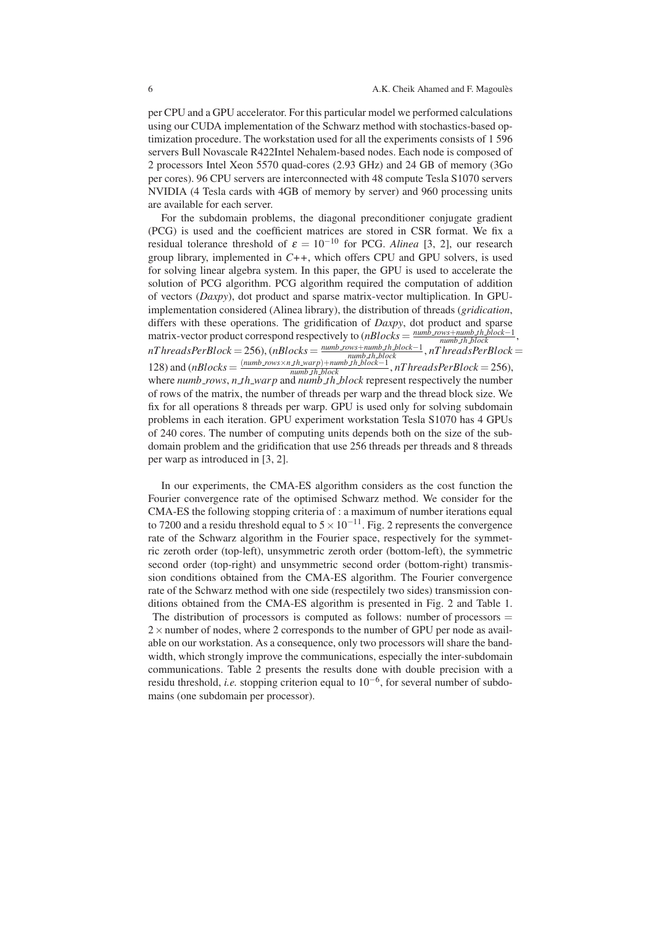per CPU and a GPU accelerator. For this particular model we performed calculations using our CUDA implementation of the Schwarz method with stochastics-based optimization procedure. The workstation used for all the experiments consists of 1 596 servers Bull Novascale R422Intel Nehalem-based nodes. Each node is composed of 2 processors Intel Xeon 5570 quad-cores (2.93 GHz) and 24 GB of memory (3Go per cores). 96 CPU servers are interconnected with 48 compute Tesla S1070 servers NVIDIA (4 Tesla cards with 4GB of memory by server) and 960 processing units are available for each server.

For the subdomain problems, the diagonal preconditioner conjugate gradient (PCG) is used and the coefficient matrices are stored in CSR format. We fix a residual tolerance threshold of  $\varepsilon = 10^{-10}$  for PCG. *Alinea* [3, 2], our research group library, implemented in *C++*, which offers CPU and GPU solvers, is used for solving linear algebra system. In this paper, the GPU is used to accelerate the solution of PCG algorithm. PCG algorithm required the computation of addition of vectors (*Daxpy*), dot product and sparse matrix-vector multiplication. In GPUimplementation considered (Alinea library), the distribution of threads (*gridication*, differs with these operations. The gridification of *Daxpy*, dot product and sparse matrix-vector product correspond respectively to  $(nBlocks = \frac{numberows + number1 \text{ } h\_block -1}{number1 \text{ } h\_block},$  $nThreadsPerBlock = 256$ ),  $(nBlock = \frac{number\_rows + number\_h\_block -1}{number\_block}$ ,  $nThreadsPerBlock =$ 128) and  $(nBlocks = \frac{(numberows \times n_th\_warp) + number h\_block-1}{number h\_block-1}, nThreadsPerBlock = 256)$ ,  $T_{128}$  and  $(h_{128} = \frac{m_{128}L_{128}L_{128}}{m_{128}L_{128}L_{128}}$ ,  $n_1$  *nreadsrerbiock* = 250), where *numb\_rows*, *n\_th\_warp* and *numb\_th\_block* represent respectively the number of rows of the matrix, the number of threads per warp and the thread block size. We fix for all operations 8 threads per warp. GPU is used only for solving subdomain problems in each iteration. GPU experiment workstation Tesla S1070 has 4 GPUs of 240 cores. The number of computing units depends both on the size of the subdomain problem and the gridification that use 256 threads per threads and 8 threads per warp as introduced in [3, 2].

In our experiments, the CMA-ES algorithm considers as the cost function the Fourier convergence rate of the optimised Schwarz method. We consider for the CMA-ES the following stopping criteria of : a maximum of number iterations equal to 7200 and a residu threshold equal to  $5 \times 10^{-11}$ . Fig. 2 represents the convergence rate of the Schwarz algorithm in the Fourier space, respectively for the symmetric zeroth order (top-left), unsymmetric zeroth order (bottom-left), the symmetric second order (top-right) and unsymmetric second order (bottom-right) transmission conditions obtained from the CMA-ES algorithm. The Fourier convergence rate of the Schwarz method with one side (respectilely two sides) transmission conditions obtained from the CMA-ES algorithm is presented in Fig. 2 and Table 1. The distribution of processors is computed as follows: number of processors =  $2 \times$  number of nodes, where 2 corresponds to the number of GPU per node as available on our workstation. As a consequence, only two processors will share the bandwidth, which strongly improve the communications, especially the inter-subdomain communications. Table 2 presents the results done with double precision with a residu threshold, *i.e.* stopping criterion equal to 10−<sup>6</sup> , for several number of subdomains (one subdomain per processor).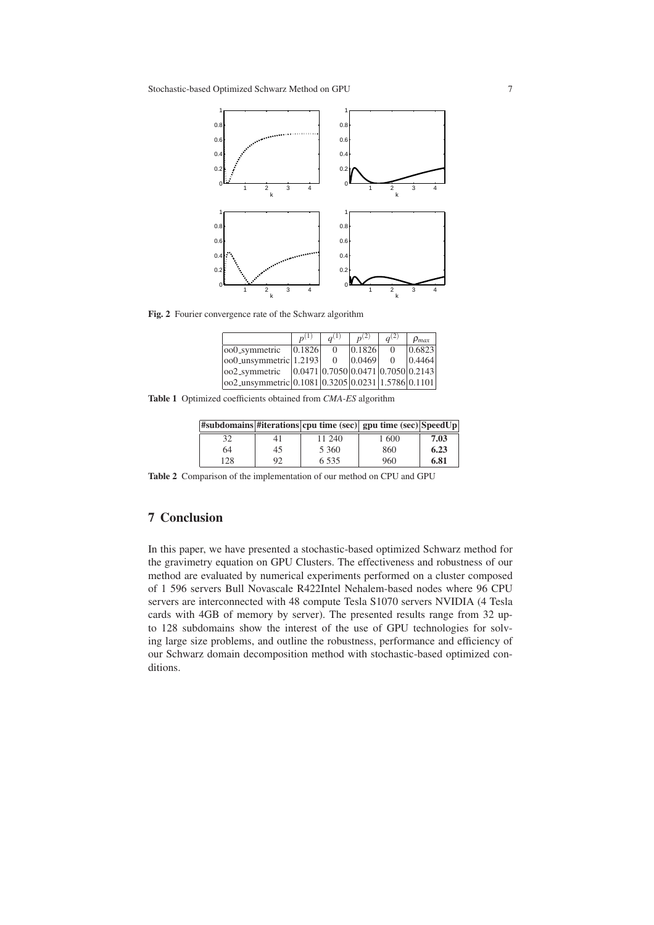

Fig. 2 Fourier convergence rate of the Schwarz algorithm

|                                                                | $n^{(1)}$ | $a^{(1)}$                          | $n^{(2)}$ | $q^{(2)}$ | $\rho_{max}$     |
|----------------------------------------------------------------|-----------|------------------------------------|-----------|-----------|------------------|
| $ 000$ _symmetric                                              | 0.1826    | $\Omega$                           | 0.1826    | $\Omega$  | $ 0.6823\rangle$ |
| $ 000 \text{unsymmetric} 1.2193 $                              |           | $\Omega$                           | 0.0469    | $\Omega$  | 0.4464           |
| $ oo2$ _symmetric                                              |           | 0.0471 0.7050 0.0471 0.7050 0.2143 |           |           |                  |
| $ oo2_{\text{unsymmetric}} 0.1081 0.3205 0.0231 1.5786 0.1101$ |           |                                    |           |           |                  |

Table 1 Optimized coefficients obtained from *CMA-ES* algorithm

|     |    |         | #subdomains #iterations cpu time (sec) gpu time (sec) SpeedUp |      |
|-----|----|---------|---------------------------------------------------------------|------|
|     |    | 11 240  | 1600                                                          | 7.03 |
| 64  | 45 | 5 3 6 0 | 860                                                           | 6.23 |
| 128 | 92 | 6 5 3 5 | 960                                                           | 6.81 |

Table 2 Comparison of the implementation of our method on CPU and GPU

## 7 Conclusion

In this paper, we have presented a stochastic-based optimized Schwarz method for the gravimetry equation on GPU Clusters. The effectiveness and robustness of our method are evaluated by numerical experiments performed on a cluster composed of 1 596 servers Bull Novascale R422Intel Nehalem-based nodes where 96 CPU servers are interconnected with 48 compute Tesla S1070 servers NVIDIA (4 Tesla cards with 4GB of memory by server). The presented results range from 32 upto 128 subdomains show the interest of the use of GPU technologies for solving large size problems, and outline the robustness, performance and efficiency of our Schwarz domain decomposition method with stochastic-based optimized conditions.